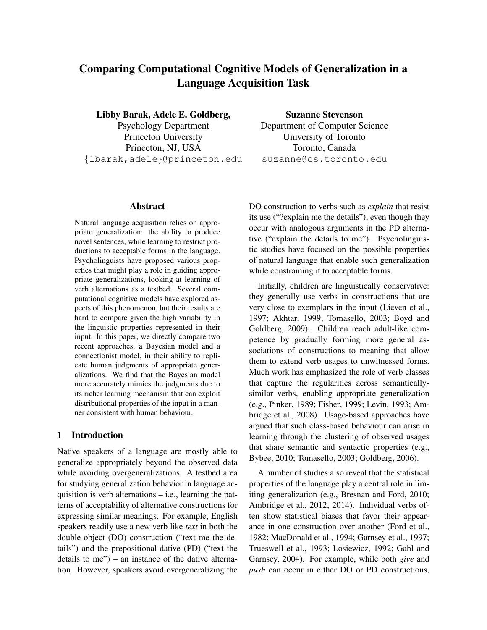# Comparing Computational Cognitive Models of Generalization in a Language Acquisition Task

Libby Barak, Adele E. Goldberg, Psychology Department Princeton University Princeton, NJ, USA {lbarak,adele}@princeton.edu

## Abstract

Natural language acquisition relies on appropriate generalization: the ability to produce novel sentences, while learning to restrict productions to acceptable forms in the language. Psycholinguists have proposed various properties that might play a role in guiding appropriate generalizations, looking at learning of verb alternations as a testbed. Several computational cognitive models have explored aspects of this phenomenon, but their results are hard to compare given the high variability in the linguistic properties represented in their input. In this paper, we directly compare two recent approaches, a Bayesian model and a connectionist model, in their ability to replicate human judgments of appropriate generalizations. We find that the Bayesian model more accurately mimics the judgments due to its richer learning mechanism that can exploit distributional properties of the input in a manner consistent with human behaviour.

## 1 Introduction

Native speakers of a language are mostly able to generalize appropriately beyond the observed data while avoiding overgeneralizations. A testbed area for studying generalization behavior in language acquisition is verb alternations – i.e., learning the patterns of acceptability of alternative constructions for expressing similar meanings. For example, English speakers readily use a new verb like *text* in both the double-object (DO) construction ("text me the details") and the prepositional-dative (PD) ("text the details to me") – an instance of the dative alternation. However, speakers avoid overgeneralizing the

Suzanne Stevenson Department of Computer Science University of Toronto Toronto, Canada suzanne@cs.toronto.edu

DO construction to verbs such as *explain* that resist its use ("?explain me the details"), even though they occur with analogous arguments in the PD alternative ("explain the details to me"). Psycholinguistic studies have focused on the possible properties of natural language that enable such generalization while constraining it to acceptable forms.

Initially, children are linguistically conservative: they generally use verbs in constructions that are very close to exemplars in the input (Lieven et al., 1997; Akhtar, 1999; Tomasello, 2003; Boyd and Goldberg, 2009). Children reach adult-like competence by gradually forming more general associations of constructions to meaning that allow them to extend verb usages to unwitnessed forms. Much work has emphasized the role of verb classes that capture the regularities across semanticallysimilar verbs, enabling appropriate generalization (e.g., Pinker, 1989; Fisher, 1999; Levin, 1993; Ambridge et al., 2008). Usage-based approaches have argued that such class-based behaviour can arise in learning through the clustering of observed usages that share semantic and syntactic properties (e.g., Bybee, 2010; Tomasello, 2003; Goldberg, 2006).

A number of studies also reveal that the statistical properties of the language play a central role in limiting generalization (e.g., Bresnan and Ford, 2010; Ambridge et al., 2012, 2014). Individual verbs often show statistical biases that favor their appearance in one construction over another (Ford et al., 1982; MacDonald et al., 1994; Garnsey et al., 1997; Trueswell et al., 1993; Losiewicz, 1992; Gahl and Garnsey, 2004). For example, while both *give* and *push* can occur in either DO or PD constructions,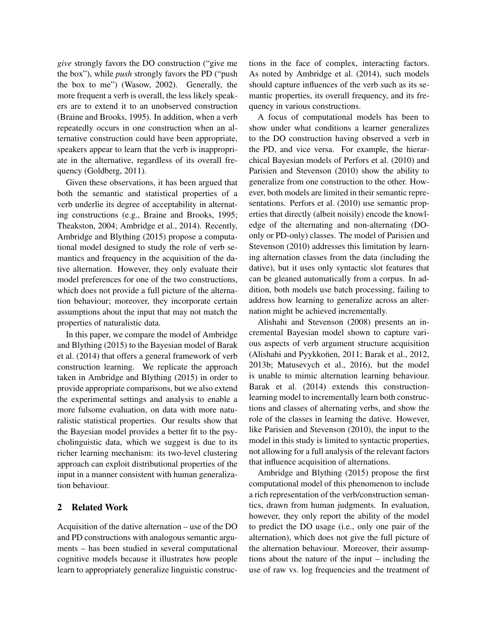*give* strongly favors the DO construction ("give me the box"), while *push* strongly favors the PD ("push the box to me") (Wasow, 2002). Generally, the more frequent a verb is overall, the less likely speakers are to extend it to an unobserved construction (Braine and Brooks, 1995). In addition, when a verb repeatedly occurs in one construction when an alternative construction could have been appropriate, speakers appear to learn that the verb is inappropriate in the alternative, regardless of its overall frequency (Goldberg, 2011).

Given these observations, it has been argued that both the semantic and statistical properties of a verb underlie its degree of acceptability in alternating constructions (e.g., Braine and Brooks, 1995; Theakston, 2004; Ambridge et al., 2014). Recently, Ambridge and Blything (2015) propose a computational model designed to study the role of verb semantics and frequency in the acquisition of the dative alternation. However, they only evaluate their model preferences for one of the two constructions, which does not provide a full picture of the alternation behaviour; moreover, they incorporate certain assumptions about the input that may not match the properties of naturalistic data.

In this paper, we compare the model of Ambridge and Blything (2015) to the Bayesian model of Barak et al. (2014) that offers a general framework of verb construction learning. We replicate the approach taken in Ambridge and Blything (2015) in order to provide appropriate comparisons, but we also extend the experimental settings and analysis to enable a more fulsome evaluation, on data with more naturalistic statistical properties. Our results show that the Bayesian model provides a better fit to the psycholinguistic data, which we suggest is due to its richer learning mechanism: its two-level clustering approach can exploit distributional properties of the input in a manner consistent with human generalization behaviour.

## 2 Related Work

Acquisition of the dative alternation – use of the DO and PD constructions with analogous semantic arguments – has been studied in several computational cognitive models because it illustrates how people learn to appropriately generalize linguistic constructions in the face of complex, interacting factors. As noted by Ambridge et al. (2014), such models should capture influences of the verb such as its semantic properties, its overall frequency, and its frequency in various constructions.

A focus of computational models has been to show under what conditions a learner generalizes to the DO construction having observed a verb in the PD, and vice versa. For example, the hierarchical Bayesian models of Perfors et al. (2010) and Parisien and Stevenson (2010) show the ability to generalize from one construction to the other. However, both models are limited in their semantic representations. Perfors et al. (2010) use semantic properties that directly (albeit noisily) encode the knowledge of the alternating and non-alternating (DOonly or PD-only) classes. The model of Parisien and Stevenson (2010) addresses this limitation by learning alternation classes from the data (including the dative), but it uses only syntactic slot features that can be gleaned automatically from a corpus. In addition, both models use batch processing, failing to address how learning to generalize across an alternation might be achieved incrementally.

Alishahi and Stevenson (2008) presents an incremental Bayesian model shown to capture various aspects of verb argument structure acquisition (Alishahi and Pyykkonen, 2011; Barak et al., 2012, 2013b; Matusevych et al., 2016), but the model is unable to mimic alternation learning behaviour. Barak et al. (2014) extends this constructionlearning model to incrementally learn both constructions and classes of alternating verbs, and show the role of the classes in learning the dative. However, like Parisien and Stevenson (2010), the input to the model in this study is limited to syntactic properties, not allowing for a full analysis of the relevant factors that influence acquisition of alternations.

Ambridge and Blything (2015) propose the first computational model of this phenomenon to include a rich representation of the verb/construction semantics, drawn from human judgments. In evaluation, however, they only report the ability of the model to predict the DO usage (i.e., only one pair of the alternation), which does not give the full picture of the alternation behaviour. Moreover, their assumptions about the nature of the input – including the use of raw vs. log frequencies and the treatment of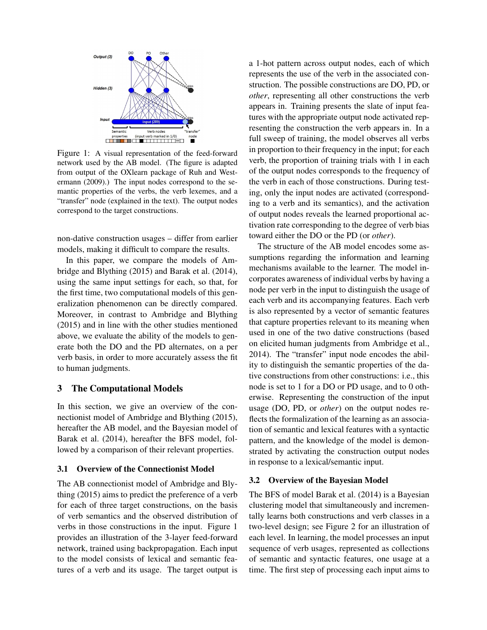

Figure 1: A visual representation of the feed-forward network used by the AB model. (The figure is adapted from output of the OXlearn package of Ruh and Westermann (2009).) The input nodes correspond to the semantic properties of the verbs, the verb lexemes, and a "transfer" node (explained in the text). The output nodes correspond to the target constructions.

non-dative construction usages – differ from earlier models, making it difficult to compare the results.

In this paper, we compare the models of Ambridge and Blything (2015) and Barak et al. (2014), using the same input settings for each, so that, for the first time, two computational models of this generalization phenomenon can be directly compared. Moreover, in contrast to Ambridge and Blything (2015) and in line with the other studies mentioned above, we evaluate the ability of the models to generate both the DO and the PD alternates, on a per verb basis, in order to more accurately assess the fit to human judgments.

## 3 The Computational Models

In this section, we give an overview of the connectionist model of Ambridge and Blything (2015), hereafter the AB model, and the Bayesian model of Barak et al. (2014), hereafter the BFS model, followed by a comparison of their relevant properties.

#### 3.1 Overview of the Connectionist Model

The AB connectionist model of Ambridge and Blything (2015) aims to predict the preference of a verb for each of three target constructions, on the basis of verb semantics and the observed distribution of verbs in those constructions in the input. Figure 1 provides an illustration of the 3-layer feed-forward network, trained using backpropagation. Each input to the model consists of lexical and semantic features of a verb and its usage. The target output is a 1-hot pattern across output nodes, each of which represents the use of the verb in the associated construction. The possible constructions are DO, PD, or *other*, representing all other constructions the verb appears in. Training presents the slate of input features with the appropriate output node activated representing the construction the verb appears in. In a full sweep of training, the model observes all verbs in proportion to their frequency in the input; for each verb, the proportion of training trials with 1 in each of the output nodes corresponds to the frequency of the verb in each of those constructions. During testing, only the input nodes are activated (corresponding to a verb and its semantics), and the activation of output nodes reveals the learned proportional activation rate corresponding to the degree of verb bias toward either the DO or the PD (or *other*).

The structure of the AB model encodes some assumptions regarding the information and learning mechanisms available to the learner. The model incorporates awareness of individual verbs by having a node per verb in the input to distinguish the usage of each verb and its accompanying features. Each verb is also represented by a vector of semantic features that capture properties relevant to its meaning when used in one of the two dative constructions (based on elicited human judgments from Ambridge et al., 2014). The "transfer" input node encodes the ability to distinguish the semantic properties of the dative constructions from other constructions: i.e., this node is set to 1 for a DO or PD usage, and to 0 otherwise. Representing the construction of the input usage (DO, PD, or *other*) on the output nodes reflects the formalization of the learning as an association of semantic and lexical features with a syntactic pattern, and the knowledge of the model is demonstrated by activating the construction output nodes in response to a lexical/semantic input.

#### 3.2 Overview of the Bayesian Model

The BFS of model Barak et al. (2014) is a Bayesian clustering model that simultaneously and incrementally learns both constructions and verb classes in a two-level design; see Figure 2 for an illustration of each level. In learning, the model processes an input sequence of verb usages, represented as collections of semantic and syntactic features, one usage at a time. The first step of processing each input aims to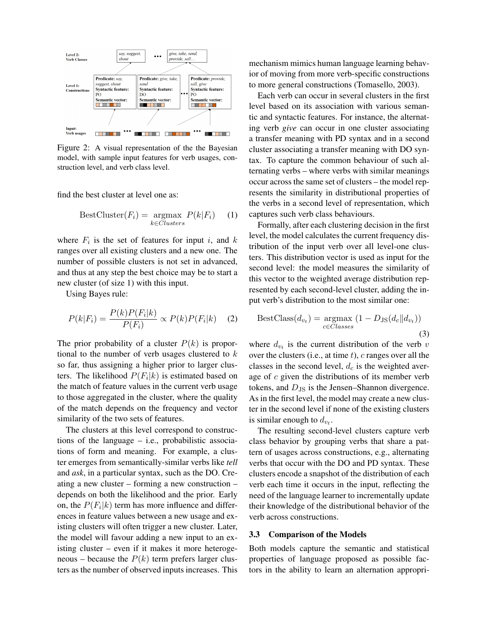

Figure 2: A visual representation of the the Bayesian model, with sample input features for verb usages, construction level, and verb class level.

find the best cluster at level one as:

$$
BestCluster(F_i) = \underset{k \in Clusters}{\operatorname{argmax}} P(k|F_i) \quad (1)
$$

where  $F_i$  is the set of features for input i, and k ranges over all existing clusters and a new one. The number of possible clusters is not set in advanced, and thus at any step the best choice may be to start a new cluster (of size 1) with this input.

Using Bayes rule:

$$
P(k|F_i) = \frac{P(k)P(F_i|k)}{P(F_i)} \propto P(k)P(F_i|k) \quad (2)
$$

The prior probability of a cluster  $P(k)$  is proportional to the number of verb usages clustered to  $k$ so far, thus assigning a higher prior to larger clusters. The likelihood  $P(F_i|k)$  is estimated based on the match of feature values in the current verb usage to those aggregated in the cluster, where the quality of the match depends on the frequency and vector similarity of the two sets of features.

The clusters at this level correspond to constructions of the language – i.e., probabilistic associations of form and meaning. For example, a cluster emerges from semantically-similar verbs like *tell* and *ask*, in a particular syntax, such as the DO. Creating a new cluster – forming a new construction – depends on both the likelihood and the prior. Early on, the  $P(F_i|k)$  term has more influence and differences in feature values between a new usage and existing clusters will often trigger a new cluster. Later, the model will favour adding a new input to an existing cluster – even if it makes it more heterogeneous – because the  $P(k)$  term prefers larger clusters as the number of observed inputs increases. This mechanism mimics human language learning behavior of moving from more verb-specific constructions to more general constructions (Tomasello, 2003).

Each verb can occur in several clusters in the first level based on its association with various semantic and syntactic features. For instance, the alternating verb *give* can occur in one cluster associating a transfer meaning with PD syntax and in a second cluster associating a transfer meaning with DO syntax. To capture the common behaviour of such alternating verbs – where verbs with similar meanings occur across the same set of clusters – the model represents the similarity in distributional properties of the verbs in a second level of representation, which captures such verb class behaviours.

Formally, after each clustering decision in the first level, the model calculates the current frequency distribution of the input verb over all level-one clusters. This distribution vector is used as input for the second level: the model measures the similarity of this vector to the weighted average distribution represented by each second-level cluster, adding the input verb's distribution to the most similar one:

$$
BestClass(d_{v_t}) = \underset{c \in Classes}{\operatorname{argmax}} (1 - D_{JS}(d_c||d_{v_t}))
$$
\n(3)

where  $d_{v_t}$  is the current distribution of the verb v over the clusters (i.e., at time  $t$ ),  $c$  ranges over all the classes in the second level,  $d_c$  is the weighted average of  $c$  given the distributions of its member verb tokens, and  $D_{\text{JS}}$  is the Jensen–Shannon divergence. As in the first level, the model may create a new cluster in the second level if none of the existing clusters is similar enough to  $d_{v_t}$ .

The resulting second-level clusters capture verb class behavior by grouping verbs that share a pattern of usages across constructions, e.g., alternating verbs that occur with the DO and PD syntax. These clusters encode a snapshot of the distribution of each verb each time it occurs in the input, reflecting the need of the language learner to incrementally update their knowledge of the distributional behavior of the verb across constructions.

#### 3.3 Comparison of the Models

Both models capture the semantic and statistical properties of language proposed as possible factors in the ability to learn an alternation appropri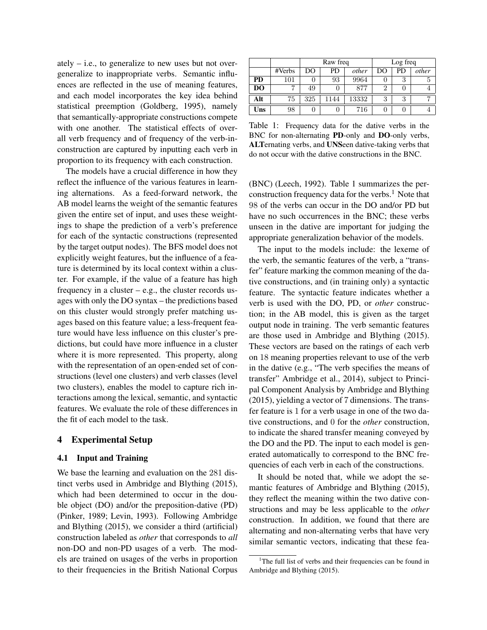ately  $-$  i.e., to generalize to new uses but not overgeneralize to inappropriate verbs. Semantic influences are reflected in the use of meaning features, and each model incorporates the key idea behind statistical preemption (Goldberg, 1995), namely that semantically-appropriate constructions compete with one another. The statistical effects of overall verb frequency and of frequency of the verb-inconstruction are captured by inputting each verb in proportion to its frequency with each construction.

The models have a crucial difference in how they reflect the influence of the various features in learning alternations. As a feed-forward network, the AB model learns the weight of the semantic features given the entire set of input, and uses these weightings to shape the prediction of a verb's preference for each of the syntactic constructions (represented by the target output nodes). The BFS model does not explicitly weight features, but the influence of a feature is determined by its local context within a cluster. For example, if the value of a feature has high frequency in a cluster – e.g., the cluster records usages with only the DO syntax – the predictions based on this cluster would strongly prefer matching usages based on this feature value; a less-frequent feature would have less influence on this cluster's predictions, but could have more influence in a cluster where it is more represented. This property, along with the representation of an open-ended set of constructions (level one clusters) and verb classes (level two clusters), enables the model to capture rich interactions among the lexical, semantic, and syntactic features. We evaluate the role of these differences in the fit of each model to the task.

## 4 Experimental Setup

#### 4.1 Input and Training

We base the learning and evaluation on the 281 distinct verbs used in Ambridge and Blything (2015), which had been determined to occur in the double object (DO) and/or the preposition-dative (PD) (Pinker, 1989; Levin, 1993). Following Ambridge and Blything (2015), we consider a third (artificial) construction labeled as *other* that corresponds to *all* non-DO and non-PD usages of a verb. The models are trained on usages of the verbs in proportion to their frequencies in the British National Corpus

|                |        | Raw freq |      |       | Log freq |           |       |
|----------------|--------|----------|------|-------|----------|-----------|-------|
|                | #Verbs | DO       | PD   | other | DO       | <b>PD</b> | other |
| PD             | 101    | 0        | 93   | 9964  |          | 3         | Ð     |
| D <sub>O</sub> |        | 49       |      | 877   |          |           |       |
| Alt            | 75     | 325      | 1144 | 13332 | २        | 3         |       |
| Uns            | 98     | U        |      | 716   |          |           |       |

Table 1: Frequency data for the dative verbs in the BNC for non-alternating PD-only and DO-only verbs, ALTernating verbs, and UNSeen dative-taking verbs that do not occur with the dative constructions in the BNC.

(BNC) (Leech, 1992). Table 1 summarizes the perconstruction frequency data for the verbs. $<sup>1</sup>$  Note that</sup> 98 of the verbs can occur in the DO and/or PD but have no such occurrences in the BNC; these verbs unseen in the dative are important for judging the appropriate generalization behavior of the models.

The input to the models include: the lexeme of the verb, the semantic features of the verb, a "transfer" feature marking the common meaning of the dative constructions, and (in training only) a syntactic feature. The syntactic feature indicates whether a verb is used with the DO, PD, or *other* construction; in the AB model, this is given as the target output node in training. The verb semantic features are those used in Ambridge and Blything (2015). These vectors are based on the ratings of each verb on 18 meaning properties relevant to use of the verb in the dative (e.g., "The verb specifies the means of transfer" Ambridge et al., 2014), subject to Principal Component Analysis by Ambridge and Blything (2015), yielding a vector of 7 dimensions. The transfer feature is 1 for a verb usage in one of the two dative constructions, and 0 for the *other* construction, to indicate the shared transfer meaning conveyed by the DO and the PD. The input to each model is generated automatically to correspond to the BNC frequencies of each verb in each of the constructions.

It should be noted that, while we adopt the semantic features of Ambridge and Blything (2015), they reflect the meaning within the two dative constructions and may be less applicable to the *other* construction. In addition, we found that there are alternating and non-alternating verbs that have very similar semantic vectors, indicating that these fea-

<sup>&</sup>lt;sup>1</sup>The full list of verbs and their frequencies can be found in Ambridge and Blything (2015).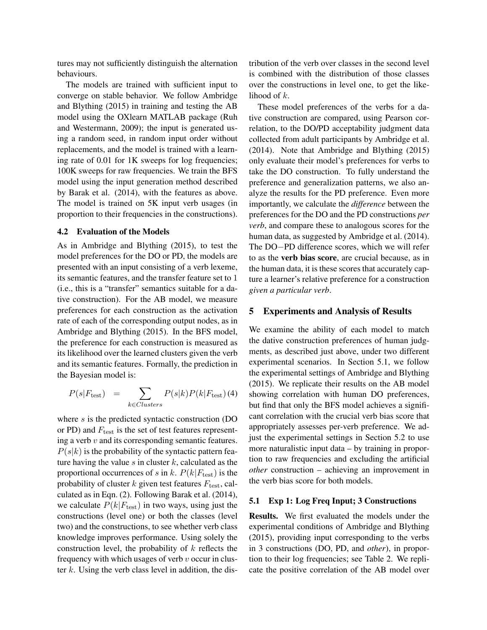tures may not sufficiently distinguish the alternation behaviours.

The models are trained with sufficient input to converge on stable behavior. We follow Ambridge and Blything (2015) in training and testing the AB model using the OXlearn MATLAB package (Ruh and Westermann, 2009); the input is generated using a random seed, in random input order without replacements, and the model is trained with a learning rate of 0.01 for 1K sweeps for log frequencies; 100K sweeps for raw frequencies. We train the BFS model using the input generation method described by Barak et al. (2014), with the features as above. The model is trained on 5K input verb usages (in proportion to their frequencies in the constructions).

#### 4.2 Evaluation of the Models

As in Ambridge and Blything (2015), to test the model preferences for the DO or PD, the models are presented with an input consisting of a verb lexeme, its semantic features, and the transfer feature set to 1 (i.e., this is a "transfer" semantics suitable for a dative construction). For the AB model, we measure preferences for each construction as the activation rate of each of the corresponding output nodes, as in Ambridge and Blything (2015). In the BFS model, the preference for each construction is measured as its likelihood over the learned clusters given the verb and its semantic features. Formally, the prediction in the Bayesian model is:

$$
P(s|F_{\text{test}}) = \sum_{k \in Clusters} P(s|k)P(k|F_{\text{test}})
$$
 (4)

where s is the predicted syntactic construction (DO or PD) and  $F_{\text{test}}$  is the set of test features representing a verb  $v$  and its corresponding semantic features.  $P(s|k)$  is the probability of the syntactic pattern feature having the value  $s$  in cluster  $k$ , calculated as the proportional occurrences of s in k.  $P(k|F_{\text{test}})$  is the probability of cluster  $k$  given test features  $F_{\text{test}}$ , calculated as in Eqn. (2). Following Barak et al. (2014), we calculate  $P(k|F_{\text{test}})$  in two ways, using just the constructions (level one) or both the classes (level two) and the constructions, to see whether verb class knowledge improves performance. Using solely the construction level, the probability of  $k$  reflects the frequency with which usages of verb  $v$  occur in cluster  $k$ . Using the verb class level in addition, the distribution of the verb over classes in the second level is combined with the distribution of those classes over the constructions in level one, to get the likelihood of k.

These model preferences of the verbs for a dative construction are compared, using Pearson correlation, to the DO/PD acceptability judgment data collected from adult participants by Ambridge et al. (2014). Note that Ambridge and Blything (2015) only evaluate their model's preferences for verbs to take the DO construction. To fully understand the preference and generalization patterns, we also analyze the results for the PD preference. Even more importantly, we calculate the *difference* between the preferences for the DO and the PD constructions *per verb*, and compare these to analogous scores for the human data, as suggested by Ambridge et al. (2014). The DO−PD difference scores, which we will refer to as the verb bias score, are crucial because, as in the human data, it is these scores that accurately capture a learner's relative preference for a construction *given a particular verb*.

#### 5 Experiments and Analysis of Results

We examine the ability of each model to match the dative construction preferences of human judgments, as described just above, under two different experimental scenarios. In Section 5.1, we follow the experimental settings of Ambridge and Blything (2015). We replicate their results on the AB model showing correlation with human DO preferences, but find that only the BFS model achieves a significant correlation with the crucial verb bias score that appropriately assesses per-verb preference. We adjust the experimental settings in Section 5.2 to use more naturalistic input data – by training in proportion to raw frequencies and excluding the artificial *other* construction – achieving an improvement in the verb bias score for both models.

## 5.1 Exp 1: Log Freq Input; 3 Constructions

Results. We first evaluated the models under the experimental conditions of Ambridge and Blything (2015), providing input corresponding to the verbs in 3 constructions (DO, PD, and *other*), in proportion to their log frequencies; see Table 2. We replicate the positive correlation of the AB model over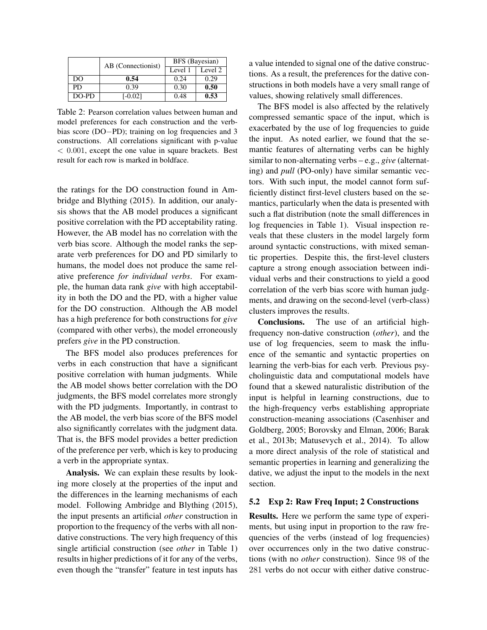|       | AB (Connectionist) | BFS (Bayesian) |         |  |
|-------|--------------------|----------------|---------|--|
|       |                    | Level 1        | Level 2 |  |
| DO    | 0.54               | 0.24           | 0.29    |  |
| PD.   | 0.39               | 0.30           | 0.50    |  |
| DO-PD | [-0.02]            | 0.48           | 0.53    |  |

Table 2: Pearson correlation values between human and model preferences for each construction and the verbbias score (DO−PD); training on log frequencies and 3 constructions. All correlations significant with p-value < 0.001, except the one value in square brackets. Best result for each row is marked in boldface.

the ratings for the DO construction found in Ambridge and Blything (2015). In addition, our analysis shows that the AB model produces a significant positive correlation with the PD acceptability rating. However, the AB model has no correlation with the verb bias score. Although the model ranks the separate verb preferences for DO and PD similarly to humans, the model does not produce the same relative preference *for individual verbs*. For example, the human data rank *give* with high acceptability in both the DO and the PD, with a higher value for the DO construction. Although the AB model has a high preference for both constructions for *give* (compared with other verbs), the model erroneously prefers *give* in the PD construction.

The BFS model also produces preferences for verbs in each construction that have a significant positive correlation with human judgments. While the AB model shows better correlation with the DO judgments, the BFS model correlates more strongly with the PD judgments. Importantly, in contrast to the AB model, the verb bias score of the BFS model also significantly correlates with the judgment data. That is, the BFS model provides a better prediction of the preference per verb, which is key to producing a verb in the appropriate syntax.

Analysis. We can explain these results by looking more closely at the properties of the input and the differences in the learning mechanisms of each model. Following Ambridge and Blything (2015), the input presents an artificial *other* construction in proportion to the frequency of the verbs with all nondative constructions. The very high frequency of this single artificial construction (see *other* in Table 1) results in higher predictions of it for any of the verbs, even though the "transfer" feature in test inputs has a value intended to signal one of the dative constructions. As a result, the preferences for the dative constructions in both models have a very small range of values, showing relatively small differences.

The BFS model is also affected by the relatively compressed semantic space of the input, which is exacerbated by the use of log frequencies to guide the input. As noted earlier, we found that the semantic features of alternating verbs can be highly similar to non-alternating verbs – e.g., *give* (alternating) and *pull* (PO-only) have similar semantic vectors. With such input, the model cannot form sufficiently distinct first-level clusters based on the semantics, particularly when the data is presented with such a flat distribution (note the small differences in log frequencies in Table 1). Visual inspection reveals that these clusters in the model largely form around syntactic constructions, with mixed semantic properties. Despite this, the first-level clusters capture a strong enough association between individual verbs and their constructions to yield a good correlation of the verb bias score with human judgments, and drawing on the second-level (verb-class) clusters improves the results.

Conclusions. The use of an artificial highfrequency non-dative construction (*other*), and the use of log frequencies, seem to mask the influence of the semantic and syntactic properties on learning the verb-bias for each verb. Previous psycholinguistic data and computational models have found that a skewed naturalistic distribution of the input is helpful in learning constructions, due to the high-frequency verbs establishing appropriate construction-meaning associations (Casenhiser and Goldberg, 2005; Borovsky and Elman, 2006; Barak et al., 2013b; Matusevych et al., 2014). To allow a more direct analysis of the role of statistical and semantic properties in learning and generalizing the dative, we adjust the input to the models in the next section.

## 5.2 Exp 2: Raw Freq Input; 2 Constructions

Results. Here we perform the same type of experiments, but using input in proportion to the raw frequencies of the verbs (instead of log frequencies) over occurrences only in the two dative constructions (with no *other* construction). Since 98 of the 281 verbs do not occur with either dative construc-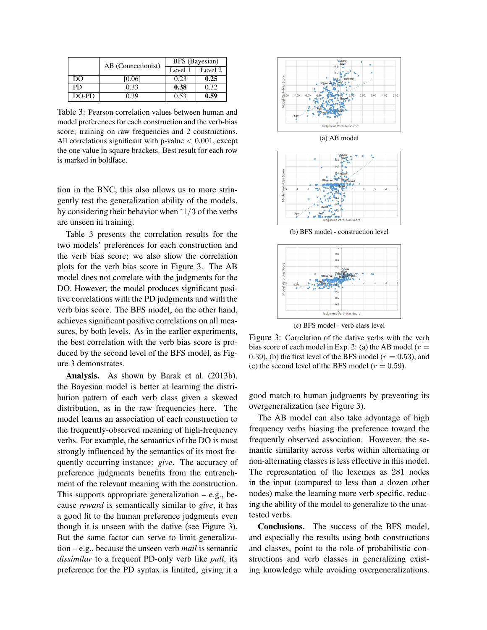|       | AB (Connectionist) | BFS (Bayesian) |         |  |
|-------|--------------------|----------------|---------|--|
|       |                    | Level 1        | Level 2 |  |
| DO    | [0.06]             | 0.23           | 0.25    |  |
| PD    | 0.33               | 0.38           | 0.32    |  |
| DO-PD | n 39               | 0.53           | 0.59    |  |

Table 3: Pearson correlation values between human and model preferences for each construction and the verb-bias score; training on raw frequencies and 2 constructions. All correlations significant with p-value  $< 0.001$ , except the one value in square brackets. Best result for each row is marked in boldface.

tion in the BNC, this also allows us to more stringently test the generalization ability of the models, by considering their behavior when  $1/3$  of the verbs are unseen in training.

Table 3 presents the correlation results for the two models' preferences for each construction and the verb bias score; we also show the correlation plots for the verb bias score in Figure 3. The AB model does not correlate with the judgments for the DO. However, the model produces significant positive correlations with the PD judgments and with the verb bias score. The BFS model, on the other hand, achieves significant positive correlations on all measures, by both levels. As in the earlier experiments, the best correlation with the verb bias score is produced by the second level of the BFS model, as Figure 3 demonstrates.

Analysis. As shown by Barak et al. (2013b), the Bayesian model is better at learning the distribution pattern of each verb class given a skewed distribution, as in the raw frequencies here. The model learns an association of each construction to the frequently-observed meaning of high-frequency verbs. For example, the semantics of the DO is most strongly influenced by the semantics of its most frequently occurring instance: *give*. The accuracy of preference judgments benefits from the entrenchment of the relevant meaning with the construction. This supports appropriate generalization  $-$  e.g., because *reward* is semantically similar to *give*, it has a good fit to the human preference judgments even though it is unseen with the dative (see Figure 3). But the same factor can serve to limit generalization – e.g., because the unseen verb *mail* is semantic *dissimilar* to a frequent PD-only verb like *pull*, its preference for the PD syntax is limited, giving it a



(c) BFS model - verb class level

Figure 3: Correlation of the dative verbs with the verb bias score of each model in Exp. 2: (a) the AB model ( $r =$ 0.39), (b) the first level of the BFS model ( $r = 0.53$ ), and (c) the second level of the BFS model ( $r = 0.59$ ).

good match to human judgments by preventing its overgeneralization (see Figure 3).

The AB model can also take advantage of high frequency verbs biasing the preference toward the frequently observed association. However, the semantic similarity across verbs within alternating or non-alternating classes is less effective in this model. The representation of the lexemes as 281 nodes in the input (compared to less than a dozen other nodes) make the learning more verb specific, reducing the ability of the model to generalize to the unattested verbs.

Conclusions. The success of the BFS model, and especially the results using both constructions and classes, point to the role of probabilistic constructions and verb classes in generalizing existing knowledge while avoiding overgeneralizations.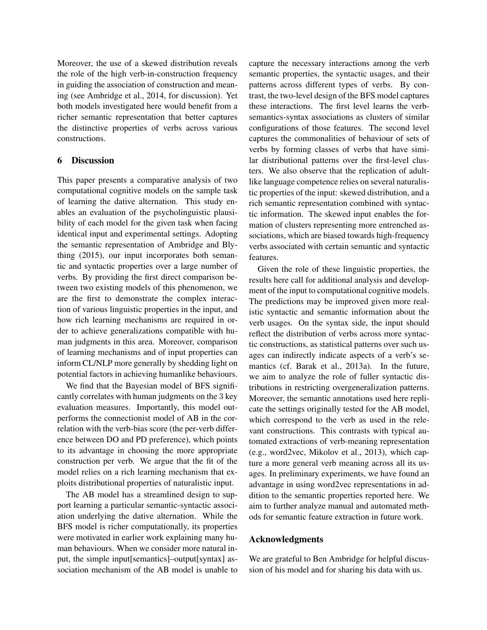Moreover, the use of a skewed distribution reveals the role of the high verb-in-construction frequency in guiding the association of construction and meaning (see Ambridge et al., 2014, for discussion). Yet both models investigated here would benefit from a richer semantic representation that better captures the distinctive properties of verbs across various constructions.

## 6 Discussion

This paper presents a comparative analysis of two computational cognitive models on the sample task of learning the dative alternation. This study enables an evaluation of the psycholinguistic plausibility of each model for the given task when facing identical input and experimental settings. Adopting the semantic representation of Ambridge and Blything (2015), our input incorporates both semantic and syntactic properties over a large number of verbs. By providing the first direct comparison between two existing models of this phenomenon, we are the first to demonstrate the complex interaction of various linguistic properties in the input, and how rich learning mechanisms are required in order to achieve generalizations compatible with human judgments in this area. Moreover, comparison of learning mechanisms and of input properties can inform CL/NLP more generally by shedding light on potential factors in achieving humanlike behaviours.

We find that the Bayesian model of BFS significantly correlates with human judgments on the 3 key evaluation measures. Importantly, this model outperforms the connectionist model of AB in the correlation with the verb-bias score (the per-verb difference between DO and PD preference), which points to its advantage in choosing the more appropriate construction per verb. We argue that the fit of the model relies on a rich learning mechanism that exploits distributional properties of naturalistic input.

The AB model has a streamlined design to support learning a particular semantic-syntactic association underlying the dative alternation. While the BFS model is richer computationally, its properties were motivated in earlier work explaining many human behaviours. When we consider more natural input, the simple input[semantics]–output[syntax] association mechanism of the AB model is unable to capture the necessary interactions among the verb semantic properties, the syntactic usages, and their patterns across different types of verbs. By contrast, the two-level design of the BFS model captures these interactions. The first level learns the verbsemantics-syntax associations as clusters of similar configurations of those features. The second level captures the commonalities of behaviour of sets of verbs by forming classes of verbs that have similar distributional patterns over the first-level clusters. We also observe that the replication of adultlike language competence relies on several naturalistic properties of the input: skewed distribution, and a rich semantic representation combined with syntactic information. The skewed input enables the formation of clusters representing more entrenched associations, which are biased towards high-frequency verbs associated with certain semantic and syntactic features.

Given the role of these linguistic properties, the results here call for additional analysis and development of the input to computational cognitive models. The predictions may be improved given more realistic syntactic and semantic information about the verb usages. On the syntax side, the input should reflect the distribution of verbs across more syntactic constructions, as statistical patterns over such usages can indirectly indicate aspects of a verb's semantics (cf. Barak et al., 2013a). In the future, we aim to analyze the role of fuller syntactic distributions in restricting overgeneralization patterns. Moreover, the semantic annotations used here replicate the settings originally tested for the AB model, which correspond to the verb as used in the relevant constructions. This contrasts with typical automated extractions of verb-meaning representation (e.g., word2vec, Mikolov et al., 2013), which capture a more general verb meaning across all its usages. In preliminary experiments, we have found an advantage in using word2vec representations in addition to the semantic properties reported here. We aim to further analyze manual and automated methods for semantic feature extraction in future work.

## Acknowledgments

We are grateful to Ben Ambridge for helpful discussion of his model and for sharing his data with us.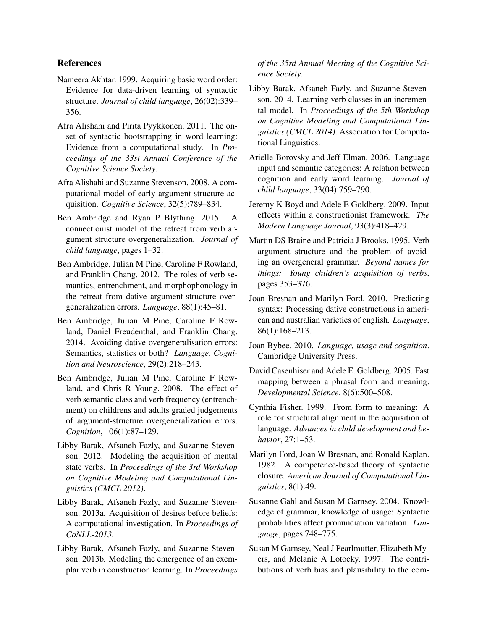## References

- Nameera Akhtar. 1999. Acquiring basic word order: Evidence for data-driven learning of syntactic structure. *Journal of child language*, 26(02):339– 356.
- Afra Alishahi and Pirita Pyykkonen. 2011. The onset of syntactic bootstrapping in word learning: Evidence from a computational study. In *Proceedings of the 33st Annual Conference of the Cognitive Science Society*.
- Afra Alishahi and Suzanne Stevenson. 2008. A computational model of early argument structure acquisition. *Cognitive Science*, 32(5):789–834.
- Ben Ambridge and Ryan P Blything. 2015. A connectionist model of the retreat from verb argument structure overgeneralization. *Journal of child language*, pages 1–32.
- Ben Ambridge, Julian M Pine, Caroline F Rowland, and Franklin Chang. 2012. The roles of verb semantics, entrenchment, and morphophonology in the retreat from dative argument-structure overgeneralization errors. *Language*, 88(1):45–81.
- Ben Ambridge, Julian M Pine, Caroline F Rowland, Daniel Freudenthal, and Franklin Chang. 2014. Avoiding dative overgeneralisation errors: Semantics, statistics or both? *Language, Cognition and Neuroscience*, 29(2):218–243.
- Ben Ambridge, Julian M Pine, Caroline F Rowland, and Chris R Young. 2008. The effect of verb semantic class and verb frequency (entrenchment) on childrens and adults graded judgements of argument-structure overgeneralization errors. *Cognition*, 106(1):87–129.
- Libby Barak, Afsaneh Fazly, and Suzanne Stevenson. 2012. Modeling the acquisition of mental state verbs. In *Proceedings of the 3rd Workshop on Cognitive Modeling and Computational Linguistics (CMCL 2012)*.
- Libby Barak, Afsaneh Fazly, and Suzanne Stevenson. 2013a. Acquisition of desires before beliefs: A computational investigation. In *Proceedings of CoNLL-2013*.
- Libby Barak, Afsaneh Fazly, and Suzanne Stevenson. 2013b. Modeling the emergence of an exemplar verb in construction learning. In *Proceedings*

*of the 35rd Annual Meeting of the Cognitive Science Society*.

- Libby Barak, Afsaneh Fazly, and Suzanne Stevenson. 2014. Learning verb classes in an incremental model. In *Proceedings of the 5th Workshop on Cognitive Modeling and Computational Linguistics (CMCL 2014)*. Association for Computational Linguistics.
- Arielle Borovsky and Jeff Elman. 2006. Language input and semantic categories: A relation between cognition and early word learning. *Journal of child language*, 33(04):759–790.
- Jeremy K Boyd and Adele E Goldberg. 2009. Input effects within a constructionist framework. *The Modern Language Journal*, 93(3):418–429.
- Martin DS Braine and Patricia J Brooks. 1995. Verb argument structure and the problem of avoiding an overgeneral grammar. *Beyond names for things: Young children's acquisition of verbs*, pages 353–376.
- Joan Bresnan and Marilyn Ford. 2010. Predicting syntax: Processing dative constructions in american and australian varieties of english. *Language*, 86(1):168–213.
- Joan Bybee. 2010. *Language, usage and cognition*. Cambridge University Press.
- David Casenhiser and Adele E. Goldberg. 2005. Fast mapping between a phrasal form and meaning. *Developmental Science*, 8(6):500–508.
- Cynthia Fisher. 1999. From form to meaning: A role for structural alignment in the acquisition of language. *Advances in child development and behavior*, 27:1–53.
- Marilyn Ford, Joan W Bresnan, and Ronald Kaplan. 1982. A competence-based theory of syntactic closure. *American Journal of Computational Linguistics*, 8(1):49.
- Susanne Gahl and Susan M Garnsey. 2004. Knowledge of grammar, knowledge of usage: Syntactic probabilities affect pronunciation variation. *Language*, pages 748–775.
- Susan M Garnsey, Neal J Pearlmutter, Elizabeth Myers, and Melanie A Lotocky. 1997. The contributions of verb bias and plausibility to the com-